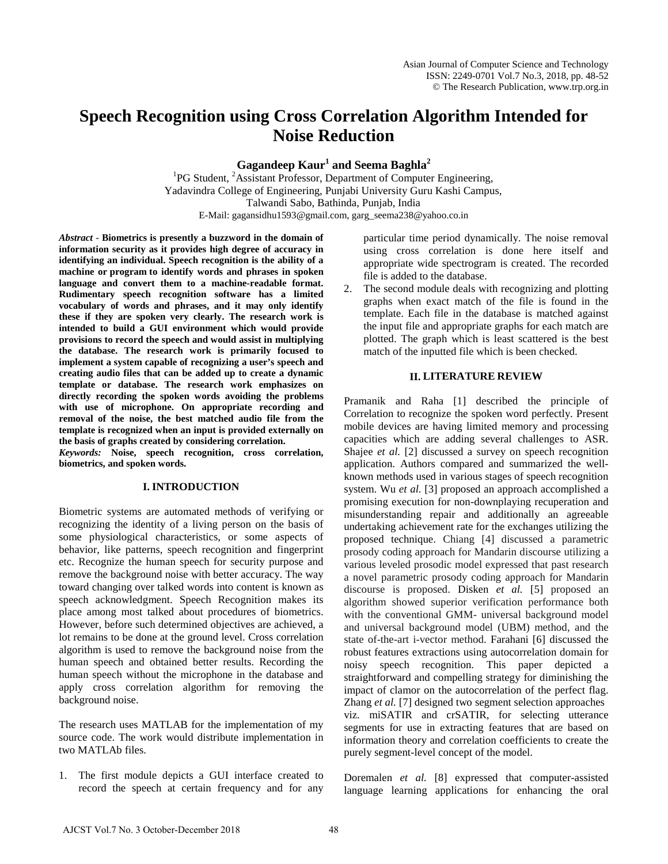# **Speech Recognition using Cross Correlation Algorithm Intended for Noise Reduction**

**Gagandeep Kaur<sup>1</sup> and Seema Baghla<sup>2</sup>**

<sup>1</sup>PG Student, <sup>2</sup>Assistant Professor, Department of Computer Engineering, Yadavindra College of Engineering, Punjabi University Guru Kashi Campus, Talwandi Sabo, Bathinda, Punjab, India E-Mail: gagansidhu1593@gmail.com, garg\_seema238@yahoo.co.in

*Abstract* - **Biometrics is presently a buzzword in the domain of information security as it provides high degree of accuracy in identifying an individual. Speech recognition is the ability of a machine or program to identify words and phrases in spoken language and convert them to a machine-readable format. Rudimentary speech recognition software has a limited vocabulary of words and phrases, and it may only identify these if they are spoken very clearly. The research work is intended to build a GUI environment which would provide provisions to record the speech and would assist in multiplying the database. The research work is primarily focused to implement a system capable of recognizing a user's speech and creating audio files that can be added up to create a dynamic template or database. The research work emphasizes on directly recording the spoken words avoiding the problems with use of microphone. On appropriate recording and removal of the noise, the best matched audio file from the template is recognized when an input is provided externally on the basis of graphs created by considering correlation.**

*Keywords:* **Noise, speech recognition, cross correlation, biometrics, and spoken words.**

## **I. INTRODUCTION**

Biometric systems are automated methods of verifying or recognizing the identity of a living person on the basis of some physiological characteristics, or some aspects of behavior, like patterns, speech recognition and fingerprint etc. Recognize the human speech for security purpose and remove the background noise with better accuracy. The way toward changing over talked words into content is known as speech acknowledgment. Speech Recognition makes its place among most talked about procedures of biometrics. However, before such determined objectives are achieved, a lot remains to be done at the ground level. Cross correlation algorithm is used to remove the background noise from the human speech and obtained better results. Recording the human speech without the microphone in the database and apply cross correlation algorithm for removing the background noise.

The research uses MATLAB for the implementation of my source code. The work would distribute implementation in two MATLAb files.

1. The first module depicts a GUI interface created to record the speech at certain frequency and for any

particular time period dynamically. The noise removal using cross correlation is done here itself and appropriate wide spectrogram is created. The recorded file is added to the database.

2. The second module deals with recognizing and plotting graphs when exact match of the file is found in the template. Each file in the database is matched against the input file and appropriate graphs for each match are plotted. The graph which is least scattered is the best match of the inputted file which is been checked.

### **II. LITERATURE REVIEW**

Pramanik and Raha [1] described the principle of Correlation to recognize the spoken word perfectly. Present mobile devices are having limited memory and processing capacities which are adding several challenges to ASR. Shajee *et al.* [2] discussed a survey on speech recognition application. Authors compared and summarized the wellknown methods used in various stages of speech recognition system. Wu *et al.* [3] proposed an approach accomplished a promising execution for non-downplaying recuperation and misunderstanding repair and additionally an agreeable undertaking achievement rate for the exchanges utilizing the proposed technique. Chiang [4] discussed a parametric prosody coding approach for Mandarin discourse utilizing a various leveled prosodic model expressed that past research a novel parametric prosody coding approach for Mandarin discourse is proposed. Disken *et al.* [5] proposed an algorithm showed superior verification performance both with the conventional GMM- universal background model and universal background model (UBM) method, and the state of-the-art i-vector method. Farahani [6] discussed the robust features extractions using autocorrelation domain for noisy speech recognition. This paper depicted a straightforward and compelling strategy for diminishing the impact of clamor on the autocorrelation of the perfect flag. Zhang *et al.* [7] designed two segment selection approaches viz. miSATIR and crSATIR, for selecting utterance segments for use in extracting features that are based on information theory and correlation coefficients to create the purely segment-level concept of the model.

Doremalen *et al.* [8] expressed that computer-assisted language learning applications for enhancing the oral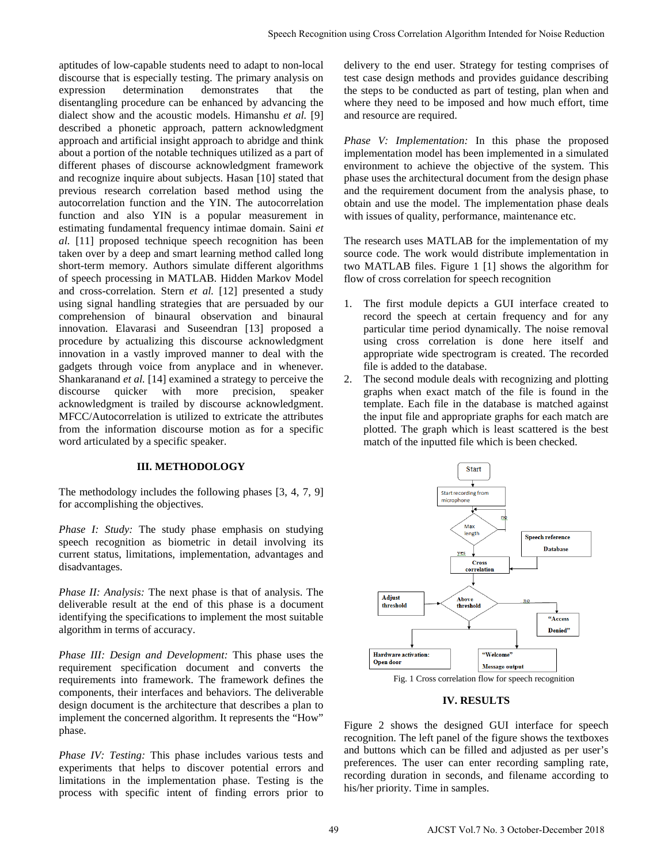aptitudes of low-capable students need to adapt to non-local discourse that is especially testing. The primary analysis on expression determination demonstrates that the disentangling procedure can be enhanced by advancing the dialect show and the acoustic models. Himanshu *et al.* [9] described a phonetic approach, pattern acknowledgment approach and artificial insight approach to abridge and think about a portion of the notable techniques utilized as a part of different phases of discourse acknowledgment framework and recognize inquire about subjects. Hasan [10] stated that previous research correlation based method using the autocorrelation function and the YIN. The autocorrelation function and also YIN is a popular measurement in estimating fundamental frequency intimae domain. Saini *et al.* [11] proposed technique speech recognition has been taken over by a deep and smart learning method called long short-term memory. Authors simulate different algorithms of speech processing in MATLAB. Hidden Markov Model and cross-correlation. Stern *et al.* [12] presented a study using signal handling strategies that are persuaded by our comprehension of binaural observation and binaural innovation. Elavarasi and Suseendran [13] proposed a procedure by actualizing this discourse acknowledgment innovation in a vastly improved manner to deal with the gadgets through voice from anyplace and in whenever. Shankaranand *et al.* [14] examined a strategy to perceive the discourse quicker with more precision, speaker acknowledgment is trailed by discourse acknowledgment. MFCC/Autocorrelation is utilized to extricate the attributes from the information discourse motion as for a specific word articulated by a specific speaker.

## **III. METHODOLOGY**

The methodology includes the following phases [3, 4, 7, 9] for accomplishing the objectives.

*Phase I: Study:* The study phase emphasis on studying speech recognition as biometric in detail involving its current status, limitations, implementation, advantages and disadvantages.

*Phase II: Analysis:* The next phase is that of analysis. The deliverable result at the end of this phase is a document identifying the specifications to implement the most suitable algorithm in terms of accuracy.

*Phase III: Design and Development:* This phase uses the requirement specification document and converts the requirements into framework. The framework defines the components, their interfaces and behaviors. The deliverable design document is the architecture that describes a plan to implement the concerned algorithm. It represents the "How" phase.

*Phase IV: Testing:* This phase includes various tests and experiments that helps to discover potential errors and limitations in the implementation phase. Testing is the process with specific intent of finding errors prior to delivery to the end user. Strategy for testing comprises of test case design methods and provides guidance describing the steps to be conducted as part of testing, plan when and where they need to be imposed and how much effort, time and resource are required.

*Phase V: Implementation:* In this phase the proposed implementation model has been implemented in a simulated environment to achieve the objective of the system. This phase uses the architectural document from the design phase and the requirement document from the analysis phase, to obtain and use the model. The implementation phase deals with issues of quality, performance, maintenance etc.

The research uses MATLAB for the implementation of my source code. The work would distribute implementation in two MATLAB files. Figure 1 [1] shows the algorithm for flow of cross correlation for speech recognition

- 1. The first module depicts a GUI interface created to record the speech at certain frequency and for any particular time period dynamically. The noise removal using cross correlation is done here itself and appropriate wide spectrogram is created. The recorded file is added to the database.
- 2. The second module deals with recognizing and plotting graphs when exact match of the file is found in the template. Each file in the database is matched against the input file and appropriate graphs for each match are plotted. The graph which is least scattered is the best match of the inputted file which is been checked.



Fig. 1 Cross correlation flow for speech recognition

## **IV. RESULTS**

Figure 2 shows the designed GUI interface for speech recognition. The left panel of the figure shows the textboxes and buttons which can be filled and adjusted as per user's preferences. The user can enter recording sampling rate, recording duration in seconds, and filename according to his/her priority. Time in samples.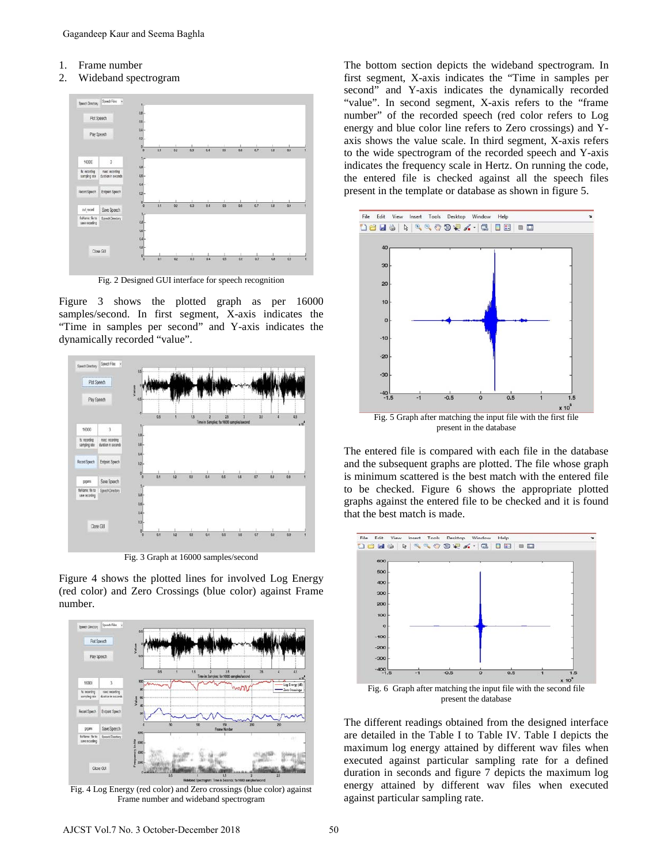- 1. Frame number
- 2. Wideband spectrogram



Fig. 2 Designed GUI interface for speech recognition

Figure 3 shows the plotted graph as per 16000 samples/second. In first segment, X-axis indicates the "Time in samples per second" and Y-axis indicates the dynamically recorded "value".



Fig. 3 Graph at 16000 samples/second

Figure 4 shows the plotted lines for involved Log Energy (red color) and Zero Crossings (blue color) against Frame number.



Fig. 4 Log Energy (red color) and Zero crossings (blue color) against Frame number and wideband spectrogram

The bottom section depicts the wideband spectrogram. In first segment, X-axis indicates the "Time in samples per second" and Y-axis indicates the dynamically recorded "value". In second segment, X-axis refers to the "frame number" of the recorded speech (red color refers to Log energy and blue color line refers to Zero crossings) and Yaxis shows the value scale. In third segment, X-axis refers to the wide spectrogram of the recorded speech and Y-axis indicates the frequency scale in Hertz. On running the code, the entered file is checked against all the speech files present in the template or database as shown in figure 5.



The entered file is compared with each file in the database and the subsequent graphs are plotted. The file whose graph is minimum scattered is the best match with the entered file to be checked. Figure 6 shows the appropriate plotted graphs against the entered file to be checked and it is found that the best match is made.



The different readings obtained from the designed interface are detailed in the Table I to Table IV. Table I depicts the maximum log energy attained by different wav files when executed against particular sampling rate for a defined duration in seconds and figure 7 depicts the maximum log energy attained by different wav files when executed

against particular sampling rate.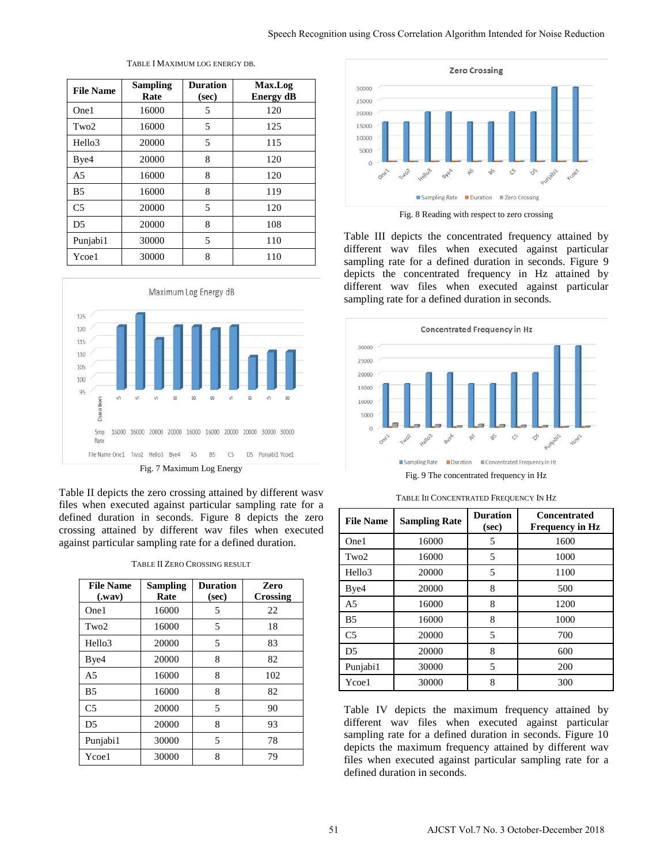| <b>File Name</b>   | <b>Sampling</b><br>Rate | <b>Duration</b><br>(sec) | Max.Log<br><b>Energy dB</b> |
|--------------------|-------------------------|--------------------------|-----------------------------|
| One1               | 16000                   | 5                        | 120                         |
| Tw <sub>0</sub> 2  | 16000                   | 5                        | 125                         |
| Hello <sub>3</sub> | 20000                   | 5                        | 115                         |
| Bye4               | 20000                   | 8                        | 120                         |
| A <sub>5</sub>     | 16000                   | 8                        | 120                         |
| B <sub>5</sub>     | 16000                   | 8                        | 119                         |
| C <sub>5</sub>     | 20000                   | 5                        | 120                         |
| D <sub>5</sub>     | 20000                   | 8                        | 108                         |
| Punjabi1           | 30000                   | 5                        | 110                         |
| Ycoe1              | 30000                   | 8                        | 110                         |

TABLE I MAXIMUM LOG ENERGY DB.



Table II depicts the zero crossing attained by different wasv files when executed against particular sampling rate for a defined duration in seconds. Figure 8 depicts the zero crossing attained by different wav files when executed against particular sampling rate for a defined duration.

| TABLE II ZERO CROSSING RESULT |
|-------------------------------|
|                               |

| <b>File Name</b><br>$(x^{max})$ | <b>Sampling</b><br>Rate | <b>Duration</b><br>(sec) | Zero<br>Crossing |
|---------------------------------|-------------------------|--------------------------|------------------|
| One1                            | 16000                   | 5                        | 22               |
| Tw <sub>0</sub> 2               | 16000                   | 5                        | 18               |
| Hello <sub>3</sub>              | 20000                   | 5                        | 83               |
| Bye4                            | 20000                   | 8                        | 82               |
| A <sub>5</sub>                  | 16000                   | 8                        | 102              |
| B <sub>5</sub>                  | 16000                   | 8                        | 82               |
| C <sub>5</sub>                  | 20000                   | 5                        | 90               |
| D <sub>5</sub>                  | 20000                   | 8                        | 93               |
| Punjabi1                        | 30000                   | 5                        | 78               |
| Ycoe1                           | 30000                   | 8                        | 79               |



Fig. 8 Reading with respect to zero crossing

Table III depicts the concentrated frequency attained by different wav files when executed against particular sampling rate for a defined duration in seconds. Figure 9 depicts the concentrated frequency in Hz attained by different wav files when executed against particular sampling rate for a defined duration in seconds.



TABLE III CONCENTRATED FREQUENCY IN HZ

| <b>File Name</b> | <b>Sampling Rate</b> | <b>Duration</b><br>(sec) | <b>Concentrated</b><br><b>Frequency in Hz</b> |
|------------------|----------------------|--------------------------|-----------------------------------------------|
| One1             | 16000                |                          | 1600                                          |
| Two2             | 16000                |                          | 1000                                          |
| Hello3           | 20000                |                          | 1100                                          |
| Bye4             | 20000                |                          | 500                                           |

A5 16000 8 1200 B5 16000 8 1000 C5 20000 5 700 D5 20000 8 600 Punjabi1 30000 5 200 Ycoe1 30000 8 300 Table IV depicts the maximum frequency attained by

different wav files when executed against particular sampling rate for a defined duration in seconds. Figure 10 depicts the maximum frequency attained by different wav files when executed against particular sampling rate for a defined duration in seconds.